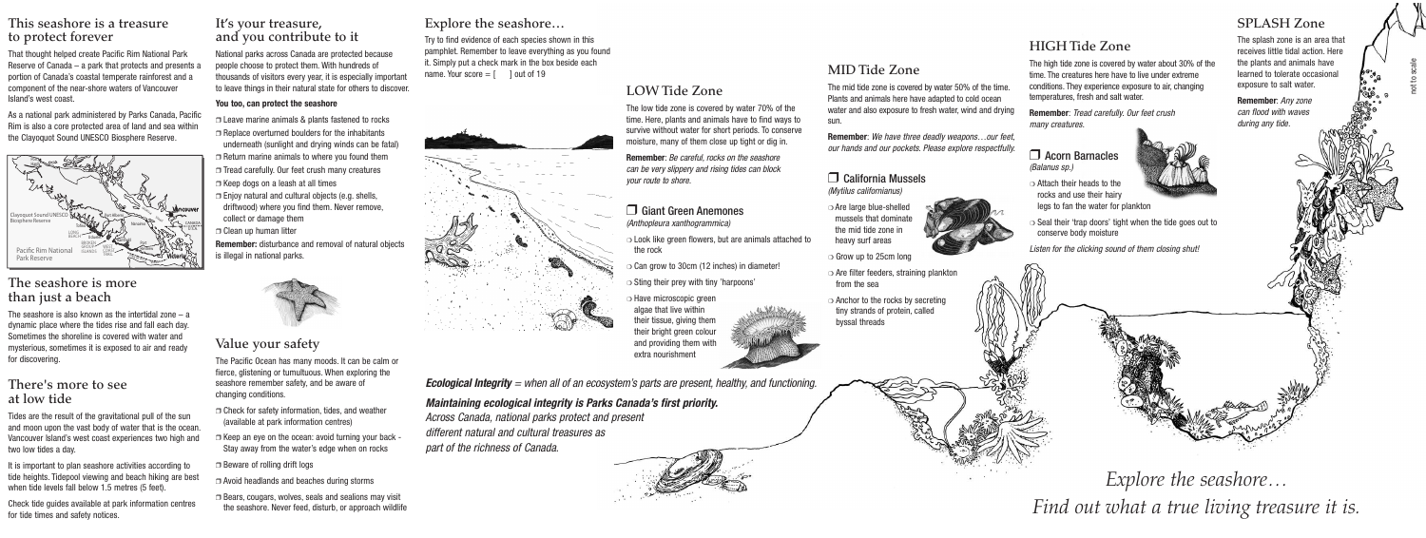## **This seashore is a treasure to protect forever**

That thought helped create Pacific Rim National Park Reserve of Canada – a park that protects and presents a portion of Canada's coastal temperate rainforest and a component of the near-shore waters of Vancouver Island's west coast.

The seashore is also known as the intertidal zone  $-$  a dynamic place where the tides rise and fall each day. Sometimes the shoreline is covered with water and mysterious, sometimes it is exposed to air and ready for discovering.

As a national park administered by Parks Canada, Pacific Rim is also a core protected area of land and sea within the Clayoquot Sound UNESCO Biosphere Reserve.

## **The seashore is more than just a beach**

## **There's more to see at low tide**

Tides are the result of the gravitational pull of the sun and moon upon the vast body of water that is the ocean. Vancouver Island's west coast experiences two high and two low tides a day.

It is important to plan seashore activities according to tide heights. Tidepool viewing and beach hiking are best when tide levels fall below 1.5 metres (5 feet).

Check tide guides available at park information centres for tide times and safety notices.

## **It's your treasure, and you contribute to it**

Try to find evidence of each species shown in this pamphlet. Remember to leave everything as you found it. Simply put a check mark in the box beside each name. Your score  $=$   $\lceil$   $\rceil$  out of 19



National parks across Canada are protected because people choose to protect them. With hundreds of thousands of visitors every year, it is especially important to leave things in their natural state for others to discover.

#### **You too, can protect the seashore**

- ❒ Leave marine animals & plants fastened to rocks
- ❒ Replace overturned boulders for the inhabitants underneath (sunlight and drying winds can be fatal)
- ❒ Return marine animals to where you found them
- ❒ Tread carefully. Our feet crush many creatures
- ❒ Keep dogs on a leash at all times
- ❒ Enjoy natural and cultural objects (e.g. shells, driftwood) where you find them. Never remove, collect or damage them
- ❒ Clean up human litter

**Remember:** disturbance and removal of natural objects is illegal in national parks.



## **Value your safety**

The Pacific Ocean has many moods. It can be calm or fierce, glistening or tumultuous. When exploring the seashore remember safety, and be aware of changing conditions.

- ❒ Check for safety information, tides, and weather (available at park information centres)
- $\Box$  Keep an eye on the ocean: avoid turning your back  $\overline{\phantom{a}}$ Stay away from the water's edge when on rocks
- ❒ Beware of rolling drift logs
- ❒ Avoid headlands and beaches during storms
- ❒ Bears, cougars, wolves, seals and sealions may visit the seashore. Never feed, disturb, or approach wildlife

## **Explore the seashore…**

## **LOW Tide Zone**

The low tide zone is covered by water 70% of the time. Here, plants and animals have to find ways to survive without water for short periods. To conserve moisture, many of them close up tight or dig in.

**Remember**: Be careful, rocks on the seashore can be very slippery and rising tides can block your route to shore.

#### ❒ Giant Green Anemones (Anthopleura xanthogrammica)

- ❍ Look like green flowers, but are animals attached to the rock
- ❍ Can grow to 30cm (12 inches) in diameter!
- $\circ$  Sting their prey with tiny 'harpoons'
- ❍ Have microscopic green algae that live within their tissue, giving them their bright green colour and providing them with extra nourishment



## **MID Tide Zone**

The mid tide zone is covered by water 50% of the time. Plants and animals here have adapted to cold ocean water and also exposure to fresh water, wind and drying sun.

**Remember**: We have three deadly weapons…our feet, our hands and our pockets. Please explore respectfully.

#### ❒ California Mussels (Mytilus californianus)

- ❍ Are large blue-shelled mussels that dominate the mid tide zone in heavy surf areas
- 
- ❍ Grow up to 25cm long
- ❍ Are filter feeders, straining plankton from the sea
- ❍ Anchor to the rocks by secreting tiny strands of protein, called byssal threads

## **HIGH Tide Zone**

The high tide zone is covered by water about 30% of the time. The creatures here have to live under extreme conditions. They experience exposure to air, changing temperatures, fresh and salt water.

**Remember**: Tread carefully. Our feet crush many creatures.

#### ❒ Acorn Barnacles (Balanus sp.)

- ❍ Attach their heads to the rocks and use their hairy legs to fan the water for plankton
- ❍ Seal their 'trap doors' tight when the tide goes out to conserve body moisture

Listen for the clicking sound of them closing shut!

## **Ecological Integrity** = when all of an ecosystem's parts are present, healthy, and functioning.

## **Maintaining ecological integrity is Parks Canada's first priority.**

Across Canada, national parks protect and present different natural and cultural treasures as part of the richness of Canada.



#### **SPLASH Zone**

The splash zone is an area that receives little tidal action. Here the plants and animals have learned to tolerate occasional exposure to salt water.

**Remember**: Any zone can flood with waves during any tide.

*Explore the seashore… Find out what a true living treasure it is.*





not to scale